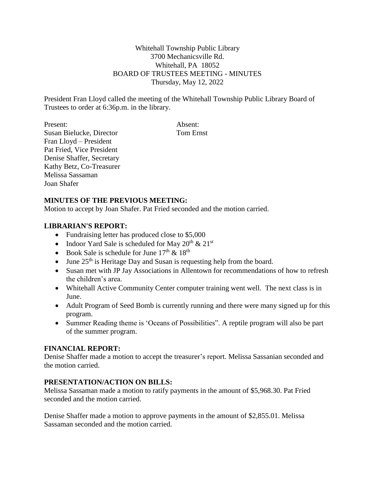Whitehall Township Public Library 3700 Mechanicsville Rd. Whitehall, PA 18052 BOARD OF TRUSTEES MEETING - MINUTES Thursday, May 12, 2022

President Fran Lloyd called the meeting of the Whitehall Township Public Library Board of Trustees to order at 6:36p.m. in the library.

Present: Absent: Susan Bielucke, Director Tom Ernst Fran Lloyd – President Pat Fried, Vice President Denise Shaffer, Secretary Kathy Betz, Co-Treasurer Melissa Sassaman Joan Shafer

# **MINUTES OF THE PREVIOUS MEETING:**

Motion to accept by Joan Shafer. Pat Fried seconded and the motion carried.

#### **LIBRARIAN'S REPORT:**

- Fundraising letter has produced close to \$5,000
- Indoor Yard Sale is scheduled for May  $20^{th}$  &  $21^{st}$
- Book Sale is schedule for June  $17<sup>th</sup>$  &  $18<sup>th</sup>$
- $\bullet$  June 25<sup>th</sup> is Heritage Day and Susan is requesting help from the board.
- Susan met with JP Jay Associations in Allentown for recommendations of how to refresh the children's area.
- Whitehall Active Community Center computer training went well. The next class is in June.
- Adult Program of Seed Bomb is currently running and there were many signed up for this program.
- Summer Reading theme is 'Oceans of Possibilities". A reptile program will also be part of the summer program.

# **FINANCIAL REPORT:**

Denise Shaffer made a motion to accept the treasurer's report. Melissa Sassanian seconded and the motion carried.

# **PRESENTATION/ACTION ON BILLS:**

Melissa Sassaman made a motion to ratify payments in the amount of \$5,968.30. Pat Fried seconded and the motion carried.

Denise Shaffer made a motion to approve payments in the amount of \$2,855.01. Melissa Sassaman seconded and the motion carried.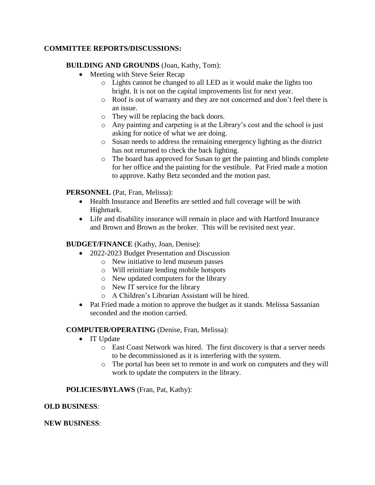# **COMMITTEE REPORTS/DISCUSSIONS:**

# **BUILDING AND GROUNDS** (Joan, Kathy, Tom):

- Meeting with Steve Seier Recap
	- o Lights cannot be changed to all LED as it would make the lights too bright. It is not on the capital improvements list for next year.
	- o Roof is out of warranty and they are not concerned and don't feel there is an issue.
	- o They will be replacing the back doors.
	- o Any painting and carpeting is at the Library's cost and the school is just asking for notice of what we are doing.
	- o Susan needs to address the remaining emergency lighting as the district has not returned to check the back lighting.
	- o The board has approved for Susan to get the painting and blinds complete for her office and the painting for the vestibule. Pat Fried made a motion to approve. Kathy Betz seconded and the motion past.

# **PERSONNEL** (Pat, Fran, Melissa):

- Health Insurance and Benefits are settled and full coverage will be with Highmark.
- Life and disability insurance will remain in place and with Hartford Insurance and Brown and Brown as the broker. This will be revisited next year.

# **BUDGET/FINANCE** (Kathy, Joan, Denise):

- 2022-2023 Budget Presentation and Discussion
	- o New initiative to lend museum passes
	- o Will reinitiate lending mobile hotspots
	- o New updated computers for the library
	- o New IT service for the library
	- o A Children's Librarian Assistant will be hired.
- Pat Fried made a motion to approve the budget as it stands. Melissa Sassanian seconded and the motion carried.

#### **COMPUTER/OPERATING** (Denise, Fran, Melissa):

- IT Update
	- o East Coast Network was hired. The first discovery is that a server needs to be decommissioned as it is interfering with the system.
	- o The portal has been set to remote in and work on computers and they will work to update the computers in the library.

# **POLICIES/BYLAWS** (Fran, Pat, Kathy):

#### **OLD BUSINESS**:

#### **NEW BUSINESS**: